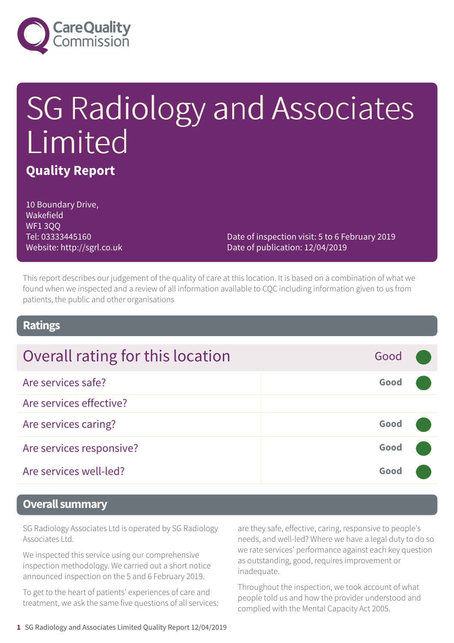

# SG Radiology and Associates Limited **Quality Report**

10 Boundary Drive, Wakefield WF1 300 Tel: 03333445160 Website: http://sgrl.co.uk

Date of inspection visit: 5 to 6 February 2019 Date of publication: 12/04/2019

This report describes our judgement of the quality of care at this location. It is based on a combination of what we found when we inspected and a review of all information available to CQC including information given to us from patients, the public and other organisations

### **Ratings**

| Overall rating for this location | Good |  |
|----------------------------------|------|--|
| Are services safe?               | Good |  |
| Are services effective?          |      |  |
| Are services caring?             | Good |  |
| Are services responsive?         | Good |  |
| Are services well-led?           | Good |  |

### **Overall summary**

SG Radiology Associates Ltd is operated by SG Radiology Associates Ltd.

We inspected this service using our comprehensive inspection methodology. We carried out a short notice announced inspection on the 5 and 6 February 2019.

To get to the heart of patients' experiences of care and treatment, we ask the same five questions of all services: are they safe, effective, caring, responsive to people's needs, and well-led? Where we have a legal duty to do so we rate services' performance against each key question as outstanding, good, requires improvement or inadequate.

Throughout the inspection, we took account of what people told us and how the provider understood and complied with the Mental Capacity Act 2005.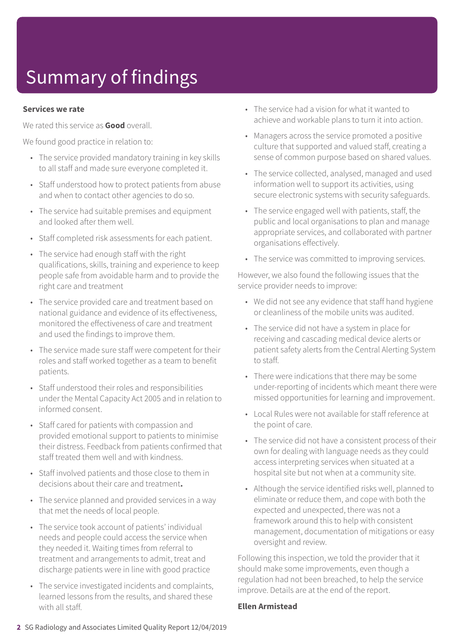#### **Services we rate**

We rated this service as **Good** overall.

We found good practice in relation to:

- The service provided mandatory training in key skills to all staff and made sure everyone completed it.
- Staff understood how to protect patients from abuse and when to contact other agencies to do so.
- The service had suitable premises and equipment and looked after them well.
- Staff completed risk assessments for each patient.
- The service had enough staff with the right qualifications, skills, training and experience to keep people safe from avoidable harm and to provide the right care and treatment
- The service provided care and treatment based on national guidance and evidence of its effectiveness, monitored the effectiveness of care and treatment and used the findings to improve them.
- The service made sure staff were competent for their roles and staff worked together as a team to benefit patients.
- Staff understood their roles and responsibilities under the Mental Capacity Act 2005 and in relation to informed consent.
- Staff cared for patients with compassion and provided emotional support to patients to minimise their distress. Feedback from patients confirmed that staff treated them well and with kindness.
- Staff involved patients and those close to them in decisions about their care and treatment**.**
- The service planned and provided services in a way that met the needs of local people.
- The service took account of patients' individual needs and people could access the service when they needed it. Waiting times from referral to treatment and arrangements to admit, treat and discharge patients were in line with good practice
- The service investigated incidents and complaints, learned lessons from the results, and shared these with all staff.
- The service had a vision for what it wanted to achieve and workable plans to turn it into action.
- Managers across the service promoted a positive culture that supported and valued staff, creating a sense of common purpose based on shared values.
- The service collected, analysed, managed and used information well to support its activities, using secure electronic systems with security safeguards.
- The service engaged well with patients, staff, the public and local organisations to plan and manage appropriate services, and collaborated with partner organisations effectively.
- The service was committed to improving services.

However, we also found the following issues that the service provider needs to improve:

- We did not see any evidence that staff hand hygiene or cleanliness of the mobile units was audited.
- The service did not have a system in place for receiving and cascading medical device alerts or patient safety alerts from the Central Alerting System to staff.
- There were indications that there may be some under-reporting of incidents which meant there were missed opportunities for learning and improvement.
- Local Rules were not available for staff reference at the point of care.
- The service did not have a consistent process of their own for dealing with language needs as they could access interpreting services when situated at a hospital site but not when at a community site.
- Although the service identified risks well, planned to eliminate or reduce them, and cope with both the expected and unexpected, there was not a framework around this to help with consistent management, documentation of mitigations or easy oversight and review.

Following this inspection, we told the provider that it should make some improvements, even though a regulation had not been breached, to help the service improve. Details are at the end of the report.

#### **Ellen Armistead**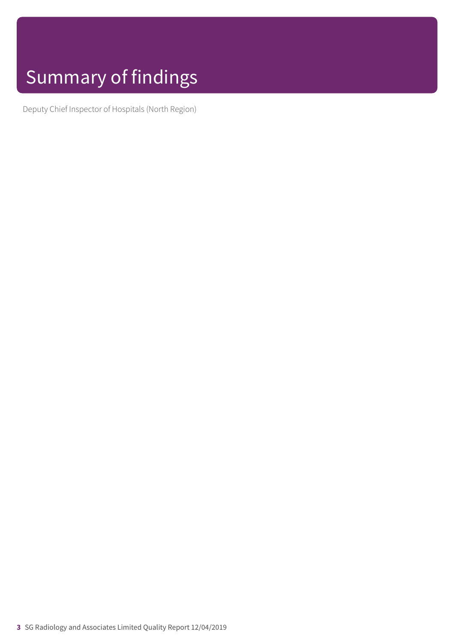Deputy Chief Inspector of Hospitals (North Region)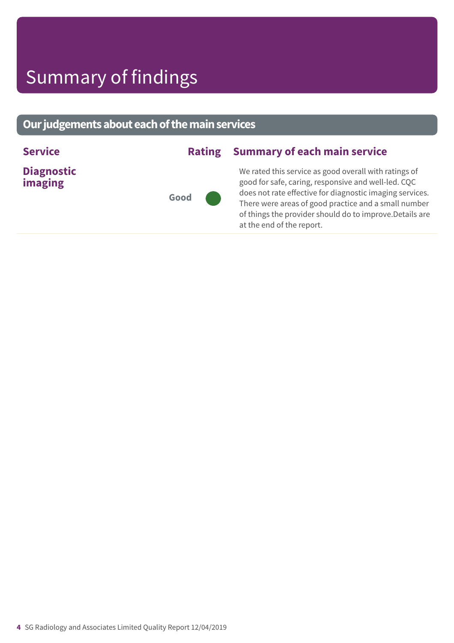### **Ourjudgementsabouteachofthemainservices**

| <b>Diagnostic</b><br>We rated this service as good overall with ratings of<br>good for safe, caring, responsive and well-led. CQC<br>imaging<br>Good<br>at the end of the report. | <b>Service</b> | <b>Rating</b> | <b>Summary of each main service</b>                                                                                                                                          |
|-----------------------------------------------------------------------------------------------------------------------------------------------------------------------------------|----------------|---------------|------------------------------------------------------------------------------------------------------------------------------------------------------------------------------|
|                                                                                                                                                                                   |                |               | does not rate effective for diagnostic imaging services.<br>There were areas of good practice and a small number<br>of things the provider should do to improve. Details are |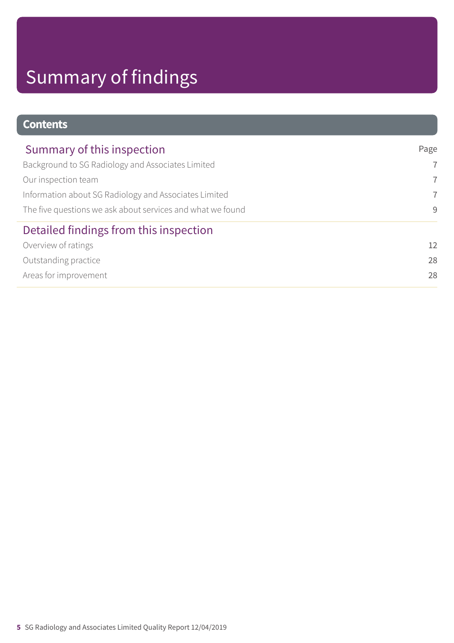### **Contents**

| Summary of this inspection                                 | Page           |
|------------------------------------------------------------|----------------|
| Background to SG Radiology and Associates Limited          | $\overline{7}$ |
| Our inspection team                                        | $\overline{7}$ |
| Information about SG Radiology and Associates Limited      | $\overline{7}$ |
| The five questions we ask about services and what we found | 9              |
| Detailed findings from this inspection                     |                |
| Overview of ratings                                        | 12             |
| Outstanding practice                                       | 28             |
| Areas for improvement                                      | 28             |
|                                                            |                |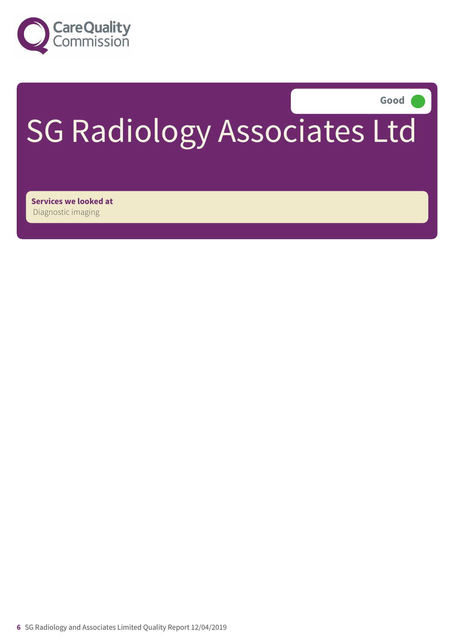

**Good –––**

# SG Radiology Associates Ltd

**Services we looked at** Diagnostic imaging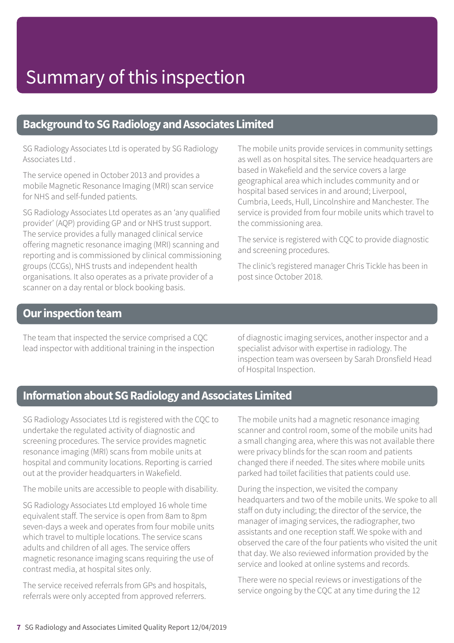### **Background to SG Radiology and Associates Limited**

SG Radiology Associates Ltd is operated by SG Radiology Associates Ltd .

The service opened in October 2013 and provides a mobile Magnetic Resonance Imaging (MRI) scan service for NHS and self-funded patients.

SG Radiology Associates Ltd operates as an 'any qualified provider' (AQP) providing GP and or NHS trust support. The service provides a fully managed clinical service offering magnetic resonance imaging (MRI) scanning and reporting and is commissioned by clinical commissioning groups (CCGs), NHS trusts and independent health organisations. It also operates as a private provider of a scanner on a day rental or block booking basis.

The mobile units provide services in community settings as well as on hospital sites. The service headquarters are based in Wakefield and the service covers a large geographical area which includes community and or hospital based services in and around; Liverpool, Cumbria, Leeds, Hull, Lincolnshire and Manchester. The service is provided from four mobile units which travel to the commissioning area.

The service is registered with CQC to provide diagnostic and screening procedures.

The clinic's registered manager Chris Tickle has been in post since October 2018.

### **Our inspection team**

The team that inspected the service comprised a CQC lead inspector with additional training in the inspection of diagnostic imaging services, another inspector and a specialist advisor with expertise in radiology. The inspection team was overseen by Sarah Dronsfield Head of Hospital Inspection.

#### **Information about SG Radiology and Associates Limited**

SG Radiology Associates Ltd is registered with the CQC to undertake the regulated activity of diagnostic and screening procedures. The service provides magnetic resonance imaging (MRI) scans from mobile units at hospital and community locations. Reporting is carried out at the provider headquarters in Wakefield.

The mobile units are accessible to people with disability.

SG Radiology Associates Ltd employed 16 whole time equivalent staff. The service is open from 8am to 8pm seven-days a week and operates from four mobile units which travel to multiple locations. The service scans adults and children of all ages. The service offers magnetic resonance imaging scans requiring the use of contrast media, at hospital sites only.

The service received referrals from GPs and hospitals, referrals were only accepted from approved referrers.

The mobile units had a magnetic resonance imaging scanner and control room, some of the mobile units had a small changing area, where this was not available there were privacy blinds for the scan room and patients changed there if needed. The sites where mobile units parked had toilet facilities that patients could use.

During the inspection, we visited the company headquarters and two of the mobile units. We spoke to all staff on duty including; the director of the service, the manager of imaging services, the radiographer, two assistants and one reception staff. We spoke with and observed the care of the four patients who visited the unit that day. We also reviewed information provided by the service and looked at online systems and records.

There were no special reviews or investigations of the service ongoing by the CQC at any time during the 12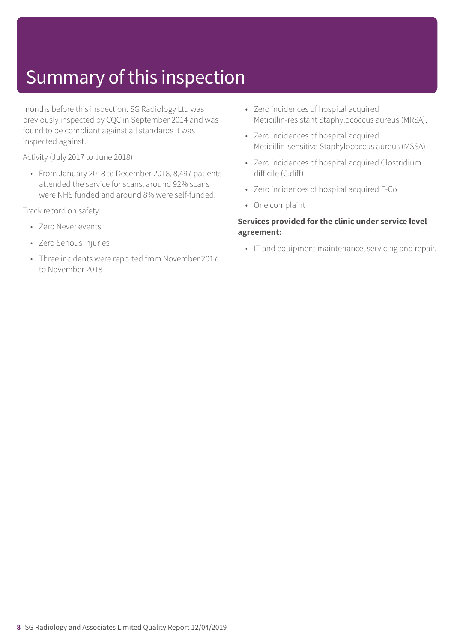months before this inspection. SG Radiology Ltd was previously inspected by CQC in September 2014 and was found to be compliant against all standards it was inspected against.

Activity (July 2017 to June 2018)

• From January 2018 to December 2018, 8,497 patients attended the service for scans, around 92% scans were NHS funded and around 8% were self-funded.

Track record on safety:

- Zero Never events
- Zero Serious injuries
- Three incidents were reported from November 2017 to November 2018
- Zero incidences of hospital acquired Meticillin-resistant Staphylococcus aureus (MRSA),
- Zero incidences of hospital acquired Meticillin-sensitive Staphylococcus aureus (MSSA)
- Zero incidences of hospital acquired Clostridium difficile (C.diff)
- Zero incidences of hospital acquired E-Coli
- One complaint

#### **Services provided for the clinic under service level agreement:**

• IT and equipment maintenance, servicing and repair.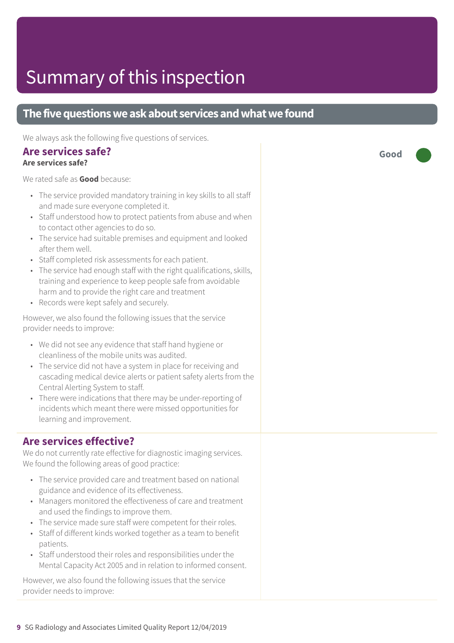### **The five questions we ask about services and what we found**

We always ask the following five questions of services.

#### **Are services safe?**

#### **Are services safe?**

We rated safe as **Good** because:

- The service provided mandatory training in key skills to all staff and made sure everyone completed it.
- Staff understood how to protect patients from abuse and when to contact other agencies to do so.
- The service had suitable premises and equipment and looked after them well.
- Staff completed risk assessments for each patient.
- The service had enough staff with the right qualifications, skills, training and experience to keep people safe from avoidable harm and to provide the right care and treatment
- Records were kept safely and securely.

However, we also found the following issues that the service provider needs to improve:

- We did not see any evidence that staff hand hygiene or cleanliness of the mobile units was audited.
- The service did not have a system in place for receiving and cascading medical device alerts or patient safety alerts from the Central Alerting System to staff.
- There were indications that there may be under-reporting of incidents which meant there were missed opportunities for learning and improvement.

#### **Are services effective?**

We do not currently rate effective for diagnostic imaging services. We found the following areas of good practice:

- The service provided care and treatment based on national guidance and evidence of its effectiveness.
- Managers monitored the effectiveness of care and treatment and used the findings to improve them.
- The service made sure staff were competent for their roles.
- Staff of different kinds worked together as a team to benefit patients.
- Staff understood their roles and responsibilities under the Mental Capacity Act 2005 and in relation to informed consent.

However, we also found the following issues that the service provider needs to improve:

**Good –––**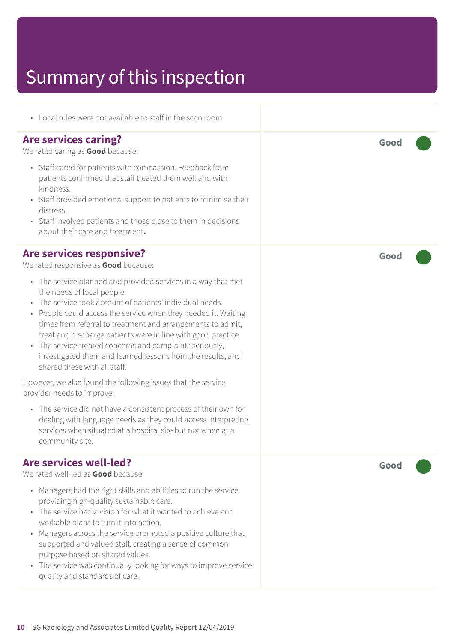| • Local rules were not available to staff in the scan room                                                                                                                                                                                                                                                                                                                                                                                                                                                                                                                                                                                                                                                                                                                                                                                                                                                             |      |
|------------------------------------------------------------------------------------------------------------------------------------------------------------------------------------------------------------------------------------------------------------------------------------------------------------------------------------------------------------------------------------------------------------------------------------------------------------------------------------------------------------------------------------------------------------------------------------------------------------------------------------------------------------------------------------------------------------------------------------------------------------------------------------------------------------------------------------------------------------------------------------------------------------------------|------|
| <b>Are services caring?</b><br>We rated caring as Good because:<br>• Staff cared for patients with compassion. Feedback from<br>patients confirmed that staff treated them well and with<br>kindness.<br>Staff provided emotional support to patients to minimise their<br>$\bullet$<br>distress.<br>• Staff involved patients and those close to them in decisions<br>about their care and treatment.                                                                                                                                                                                                                                                                                                                                                                                                                                                                                                                 | Good |
| Are services responsive?<br>We rated responsive as Good because:<br>• The service planned and provided services in a way that met<br>the needs of local people.<br>The service took account of patients' individual needs.<br>• People could access the service when they needed it. Waiting<br>times from referral to treatment and arrangements to admit,<br>treat and discharge patients were in line with good practice<br>The service treated concerns and complaints seriously,<br>$\bullet$<br>investigated them and learned lessons from the results, and<br>shared these with all staff.<br>However, we also found the following issues that the service<br>provider needs to improve:<br>• The service did not have a consistent process of their own for<br>dealing with language needs as they could access interpreting<br>services when situated at a hospital site but not when at a<br>community site. | Good |
| <b>Are services well-led?</b><br>We rated well-led as Good because:<br>• Managers had the right skills and abilities to run the service<br>providing high-quality sustainable care.<br>• The service had a vision for what it wanted to achieve and<br>workable plans to turn it into action.<br>• Managers across the service promoted a positive culture that<br>supported and valued staff, creating a sense of common<br>purpose based on shared values.<br>• The service was continually looking for ways to improve service<br>quality and standards of care.                                                                                                                                                                                                                                                                                                                                                    | Good |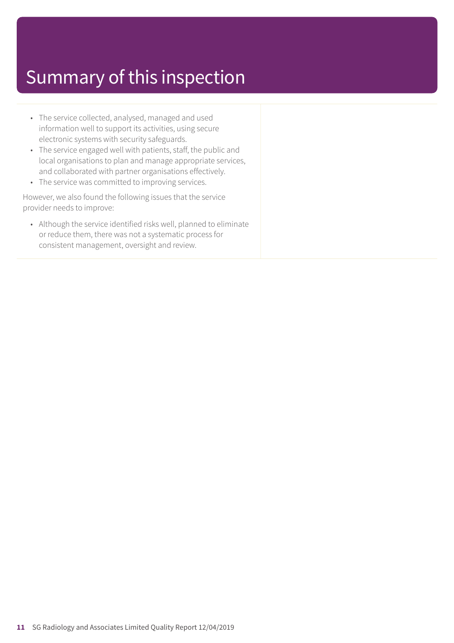- The service collected, analysed, managed and used information well to support its activities, using secure electronic systems with security safeguards.
- The service engaged well with patients, staff, the public and local organisations to plan and manage appropriate services, and collaborated with partner organisations effectively.
- The service was committed to improving services.

However, we also found the following issues that the service provider needs to improve:

• Although the service identified risks well, planned to eliminate or reduce them, there was not a systematic process for consistent management, oversight and review.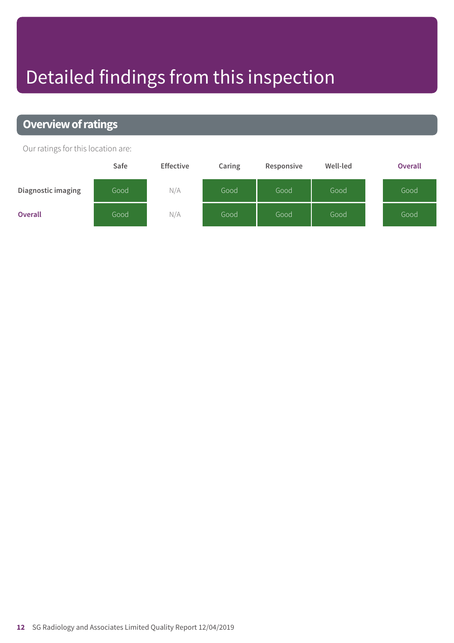# Detailed findings from this inspection

### **Overview of ratings**

Our ratings for this location are:

|                    | Safe | <b>Effective</b> | Caring | Responsive | Well-led | Overall |
|--------------------|------|------------------|--------|------------|----------|---------|
| Diagnostic imaging | Good | N/A              | Good   | Good       | Good     | Good    |
| <b>Overall</b>     | Good | N/A              | Good   | Good       | Good     | Good    |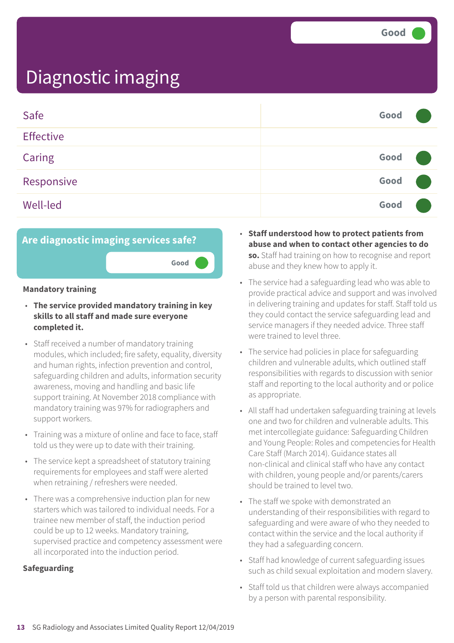| Safe             | Good |  |
|------------------|------|--|
| <b>Effective</b> |      |  |
| Caring           | Good |  |
| Responsive       | Good |  |
| Well-led         | Good |  |

### **Are diagnostic imaging services safe?**



#### **Mandatory training**

- **The service provided mandatory training in key skills to all staff and made sure everyone completed it.**
- Staff received a number of mandatory training modules, which included; fire safety, equality, diversity and human rights, infection prevention and control, safeguarding children and adults, information security awareness, moving and handling and basic life support training. At November 2018 compliance with mandatory training was 97% for radiographers and support workers.
- Training was a mixture of online and face to face, staff told us they were up to date with their training.
- The service kept a spreadsheet of statutory training requirements for employees and staff were alerted when retraining / refreshers were needed.
- There was a comprehensive induction plan for new starters which was tailored to individual needs. For a trainee new member of staff, the induction period could be up to 12 weeks. Mandatory training, supervised practice and competency assessment were all incorporated into the induction period.

#### **Safeguarding**

- **Staff understood how to protect patients from abuse and when to contact other agencies to do so.** Staff had training on how to recognise and report abuse and they knew how to apply it.
- The service had a safeguarding lead who was able to provide practical advice and support and was involved in delivering training and updates for staff. Staff told us they could contact the service safeguarding lead and service managers if they needed advice. Three staff were trained to level three.
- The service had policies in place for safeguarding children and vulnerable adults, which outlined staff responsibilities with regards to discussion with senior staff and reporting to the local authority and or police as appropriate.
- All staff had undertaken safeguarding training at levels one and two for children and vulnerable adults. This met intercollegiate guidance: Safeguarding Children and Young People: Roles and competencies for Health Care Staff (March 2014). Guidance states all non-clinical and clinical staff who have any contact with children, young people and/or parents/carers should be trained to level two.
- The staff we spoke with demonstrated an understanding of their responsibilities with regard to safeguarding and were aware of who they needed to contact within the service and the local authority if they had a safeguarding concern.
- Staff had knowledge of current safeguarding issues such as child sexual exploitation and modern slavery.
- Staff told us that children were always accompanied by a person with parental responsibility.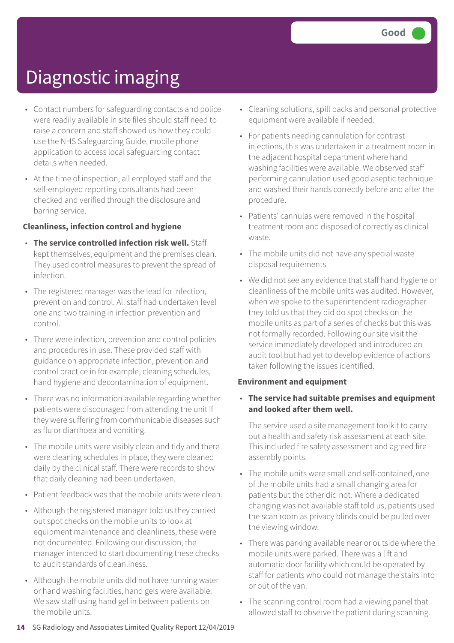- Contact numbers for safeguarding contacts and police were readily available in site files should staff need to raise a concern and staff showed us how they could use the NHS Safeguarding Guide, mobile phone application to access local safeguarding contact details when needed.
- At the time of inspection, all employed staff and the self-employed reporting consultants had been checked and verified through the disclosure and barring service.

#### **Cleanliness, infection control and hygiene**

- **The service controlled infection risk well.** Staff kept themselves, equipment and the premises clean. They used control measures to prevent the spread of infection.
- The registered manager was the lead for infection, prevention and control. All staff had undertaken level one and two training in infection prevention and control.
- There were infection, prevention and control policies and procedures in use. These provided staff with guidance on appropriate infection, prevention and control practice in for example, cleaning schedules, hand hygiene and decontamination of equipment.
- There was no information available regarding whether patients were discouraged from attending the unit if they were suffering from communicable diseases such as flu or diarrhoea and vomiting.
- The mobile units were visibly clean and tidy and there were cleaning schedules in place, they were cleaned daily by the clinical staff. There were records to show that daily cleaning had been undertaken.
- Patient feedback was that the mobile units were clean.
- Although the registered manager told us they carried out spot checks on the mobile units to look at equipment maintenance and cleanliness, these were not documented. Following our discussion, the manager intended to start documenting these checks to audit standards of cleanliness.
- Although the mobile units did not have running water or hand washing facilities, hand gels were available. We saw staff using hand gel in between patients on the mobile units.
- Cleaning solutions, spill packs and personal protective equipment were available if needed.
- For patients needing cannulation for contrast injections, this was undertaken in a treatment room in the adjacent hospital department where hand washing facilities were available. We observed staff performing cannulation used good aseptic technique and washed their hands correctly before and after the procedure.
- Patients' cannulas were removed in the hospital treatment room and disposed of correctly as clinical waste.
- The mobile units did not have any special waste disposal requirements.
- We did not see any evidence that staff hand hygiene or cleanliness of the mobile units was audited. However, when we spoke to the superintendent radiographer they told us that they did do spot checks on the mobile units as part of a series of checks but this was not formally recorded. Following our site visit the service immediately developed and introduced an audit tool but had yet to develop evidence of actions taken following the issues identified.

#### **Environment and equipment**

#### • **The service had suitable premises and equipment and looked after them well.**

The service used a site management toolkit to carry out a health and safety risk assessment at each site. This included fire safety assessment and agreed fire assembly points.

- The mobile units were small and self-contained, one of the mobile units had a small changing area for patients but the other did not. Where a dedicated changing was not available staff told us, patients used the scan room as privacy blinds could be pulled over the viewing window.
- There was parking available near or outside where the mobile units were parked. There was a lift and automatic door facility which could be operated by staff for patients who could not manage the stairs into or out of the van.
- The scanning control room had a viewing panel that allowed staff to observe the patient during scanning.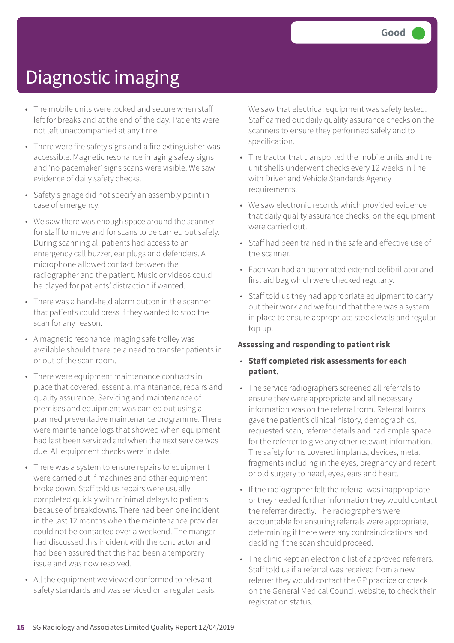- The mobile units were locked and secure when staff left for breaks and at the end of the day. Patients were not left unaccompanied at any time.
- There were fire safety signs and a fire extinguisher was accessible. Magnetic resonance imaging safety signs and 'no pacemaker' signs scans were visible. We saw evidence of daily safety checks.
- Safety signage did not specify an assembly point in case of emergency.
- We saw there was enough space around the scanner for staff to move and for scans to be carried out safely. During scanning all patients had access to an emergency call buzzer, ear plugs and defenders. A microphone allowed contact between the radiographer and the patient. Music or videos could be played for patients' distraction if wanted.
- There was a hand-held alarm button in the scanner that patients could press if they wanted to stop the scan for any reason.
- A magnetic resonance imaging safe trolley was available should there be a need to transfer patients in or out of the scan room.
- There were equipment maintenance contracts in place that covered, essential maintenance, repairs and quality assurance. Servicing and maintenance of premises and equipment was carried out using a planned preventative maintenance programme. There were maintenance logs that showed when equipment had last been serviced and when the next service was due. All equipment checks were in date.
- There was a system to ensure repairs to equipment were carried out if machines and other equipment broke down. Staff told us repairs were usually completed quickly with minimal delays to patients because of breakdowns. There had been one incident in the last 12 months when the maintenance provider could not be contacted over a weekend. The manger had discussed this incident with the contractor and had been assured that this had been a temporary issue and was now resolved.
- All the equipment we viewed conformed to relevant safety standards and was serviced on a regular basis.

We saw that electrical equipment was safety tested. Staff carried out daily quality assurance checks on the scanners to ensure they performed safely and to specification.

- The tractor that transported the mobile units and the unit shells underwent checks every 12 weeks in line with Driver and Vehicle Standards Agency requirements.
- We saw electronic records which provided evidence that daily quality assurance checks, on the equipment were carried out.
- Staff had been trained in the safe and effective use of the scanner.
- Each van had an automated external defibrillator and first aid bag which were checked regularly.
- Staff told us they had appropriate equipment to carry out their work and we found that there was a system in place to ensure appropriate stock levels and regular top up.

#### **Assessing and responding to patient risk**

#### • **Staff completed risk assessments for each patient.**

- The service radiographers screened all referrals to ensure they were appropriate and all necessary information was on the referral form. Referral forms gave the patient's clinical history, demographics, requested scan, referrer details and had ample space for the referrer to give any other relevant information. The safety forms covered implants, devices, metal fragments including in the eyes, pregnancy and recent or old surgery to head, eyes, ears and heart.
- If the radiographer felt the referral was inappropriate or they needed further information they would contact the referrer directly. The radiographers were accountable for ensuring referrals were appropriate, determining if there were any contraindications and deciding if the scan should proceed.
- The clinic kept an electronic list of approved referrers. Staff told us if a referral was received from a new referrer they would contact the GP practice or check on the General Medical Council website, to check their registration status.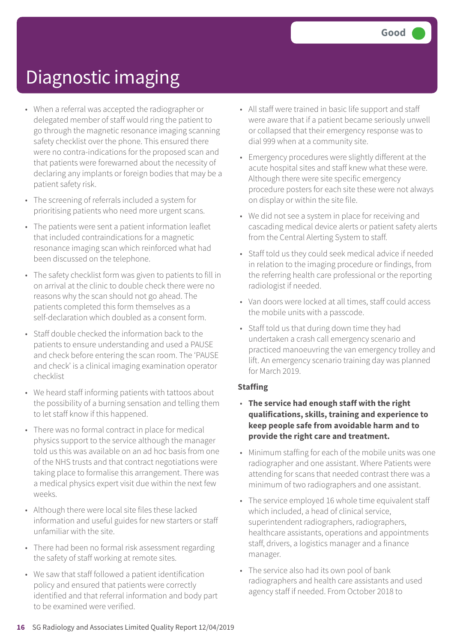- When a referral was accepted the radiographer or delegated member of staff would ring the patient to go through the magnetic resonance imaging scanning safety checklist over the phone. This ensured there were no contra-indications for the proposed scan and that patients were forewarned about the necessity of declaring any implants or foreign bodies that may be a patient safety risk.
- The screening of referrals included a system for prioritising patients who need more urgent scans.
- The patients were sent a patient information leaflet that included contraindications for a magnetic resonance imaging scan which reinforced what had been discussed on the telephone.
- The safety checklist form was given to patients to fill in on arrival at the clinic to double check there were no reasons why the scan should not go ahead. The patients completed this form themselves as a self-declaration which doubled as a consent form.
- Staff double checked the information back to the patients to ensure understanding and used a PAUSE and check before entering the scan room. The 'PAUSE and check' is a clinical imaging examination operator checklist
- We heard staff informing patients with tattoos about the possibility of a burning sensation and telling them to let staff know if this happened.
- There was no formal contract in place for medical physics support to the service although the manager told us this was available on an ad hoc basis from one of the NHS trusts and that contract negotiations were taking place to formalise this arrangement. There was a medical physics expert visit due within the next few weeks.
- Although there were local site files these lacked information and useful guides for new starters or staff unfamiliar with the site.
- There had been no formal risk assessment regarding the safety of staff working at remote sites.
- We saw that staff followed a patient identification policy and ensured that patients were correctly identified and that referral information and body part to be examined were verified.
- All staff were trained in basic life support and staff were aware that if a patient became seriously unwell or collapsed that their emergency response was to dial 999 when at a community site.
- Emergency procedures were slightly different at the acute hospital sites and staff knew what these were. Although there were site specific emergency procedure posters for each site these were not always on display or within the site file.
- We did not see a system in place for receiving and cascading medical device alerts or patient safety alerts from the Central Alerting System to staff.
- Staff told us they could seek medical advice if needed in relation to the imaging procedure or findings, from the referring health care professional or the reporting radiologist if needed.
- Van doors were locked at all times, staff could access the mobile units with a passcode.
- Staff told us that during down time they had undertaken a crash call emergency scenario and practiced manoeuvring the van emergency trolley and lift. An emergency scenario training day was planned for March 2019.

#### **Staffing**

- **The service had enough staff with the right qualifications, skills, training and experience to keep people safe from avoidable harm and to provide the right care and treatment.**
- Minimum staffing for each of the mobile units was one radiographer and one assistant. Where Patients were attending for scans that needed contrast there was a minimum of two radiographers and one assistant.
- The service employed 16 whole time equivalent staff which included, a head of clinical service, superintendent radiographers, radiographers, healthcare assistants, operations and appointments staff, drivers, a logistics manager and a finance manager.
- The service also had its own pool of bank radiographers and health care assistants and used agency staff if needed. From October 2018 to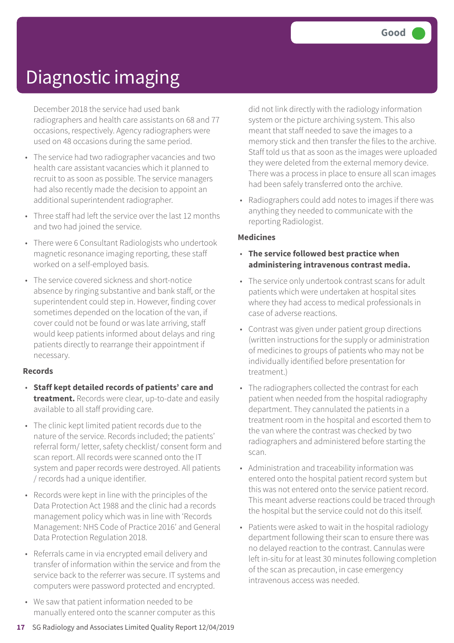December 2018 the service had used bank radiographers and health care assistants on 68 and 77 occasions, respectively. Agency radiographers were used on 48 occasions during the same period.

- The service had two radiographer vacancies and two health care assistant vacancies which it planned to recruit to as soon as possible. The service managers had also recently made the decision to appoint an additional superintendent radiographer.
- Three staff had left the service over the last 12 months and two had joined the service.
- There were 6 Consultant Radiologists who undertook magnetic resonance imaging reporting, these staff worked on a self-employed basis.
- The service covered sickness and short-notice absence by ringing substantive and bank staff, or the superintendent could step in. However, finding cover sometimes depended on the location of the van, if cover could not be found or was late arriving, staff would keep patients informed about delays and ring patients directly to rearrange their appointment if necessary.

#### **Records**

- **Staff kept detailed records of patients' care and treatment.** Records were clear, up-to-date and easily available to all staff providing care.
- The clinic kept limited patient records due to the nature of the service. Records included; the patients' referral form/ letter, safety checklist/ consent form and scan report. All records were scanned onto the IT system and paper records were destroyed. All patients / records had a unique identifier.
- Records were kept in line with the principles of the Data Protection Act 1988 and the clinic had a records management policy which was in line with 'Records Management: NHS Code of Practice 2016' and General Data Protection Regulation 2018.
- Referrals came in via encrypted email delivery and transfer of information within the service and from the service back to the referrer was secure. IT systems and computers were password protected and encrypted.
- We saw that patient information needed to be manually entered onto the scanner computer as this

did not link directly with the radiology information system or the picture archiving system. This also meant that staff needed to save the images to a memory stick and then transfer the files to the archive. Staff told us that as soon as the images were uploaded they were deleted from the external memory device. There was a process in place to ensure all scan images had been safely transferred onto the archive.

• Radiographers could add notes to images if there was anything they needed to communicate with the reporting Radiologist.

#### **Medicines**

#### • **The service followed best practice when administering intravenous contrast media.**

- The service only undertook contrast scans for adult patients which were undertaken at hospital sites where they had access to medical professionals in case of adverse reactions.
- Contrast was given under patient group directions (written instructions for the supply or administration of medicines to groups of patients who may not be individually identified before presentation for treatment.)
- The radiographers collected the contrast for each patient when needed from the hospital radiography department. They cannulated the patients in a treatment room in the hospital and escorted them to the van where the contrast was checked by two radiographers and administered before starting the scan.
- Administration and traceability information was entered onto the hospital patient record system but this was not entered onto the service patient record. This meant adverse reactions could be traced through the hospital but the service could not do this itself.
- Patients were asked to wait in the hospital radiology department following their scan to ensure there was no delayed reaction to the contrast. Cannulas were left in-situ for at least 30 minutes following completion of the scan as precaution, in case emergency intravenous access was needed.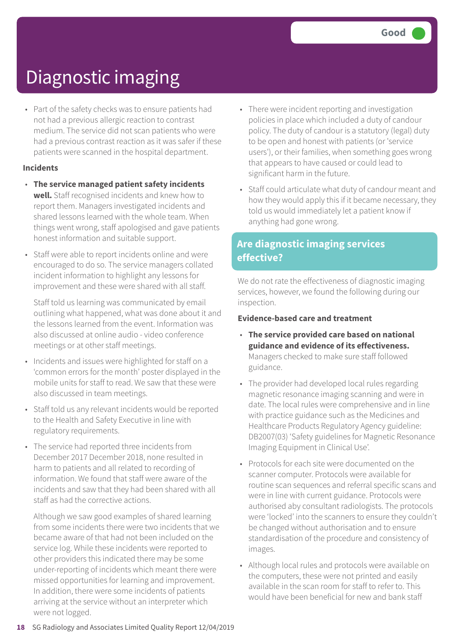• Part of the safety checks was to ensure patients had not had a previous allergic reaction to contrast medium. The service did not scan patients who were had a previous contrast reaction as it was safer if these patients were scanned in the hospital department.

#### **Incidents**

- **The service managed patient safety incidents well.** Staff recognised incidents and knew how to report them. Managers investigated incidents and shared lessons learned with the whole team. When things went wrong, staff apologised and gave patients honest information and suitable support.
- Staff were able to report incidents online and were encouraged to do so. The service managers collated incident information to highlight any lessons for improvement and these were shared with all staff.

Staff told us learning was communicated by email outlining what happened, what was done about it and the lessons learned from the event. Information was also discussed at online audio - video conference meetings or at other staff meetings.

- Incidents and issues were highlighted for staff on a 'common errors for the month' poster displayed in the mobile units for staff to read. We saw that these were also discussed in team meetings.
- Staff told us any relevant incidents would be reported to the Health and Safety Executive in line with regulatory requirements.
- The service had reported three incidents from December 2017 December 2018, none resulted in harm to patients and all related to recording of information. We found that staff were aware of the incidents and saw that they had been shared with all staff as had the corrective actions.

Although we saw good examples of shared learning from some incidents there were two incidents that we became aware of that had not been included on the service log. While these incidents were reported to other providers this indicated there may be some under-reporting of incidents which meant there were missed opportunities for learning and improvement. In addition, there were some incidents of patients arriving at the service without an interpreter which were not logged.

- There were incident reporting and investigation policies in place which included a duty of candour policy. The duty of candour is a statutory (legal) duty to be open and honest with patients (or 'service users'), or their families, when something goes wrong that appears to have caused or could lead to significant harm in the future.
- Staff could articulate what duty of candour meant and how they would apply this if it became necessary, they told us would immediately let a patient know if anything had gone wrong.

### **Are diagnostic imaging services effective?**

We do not rate the effectiveness of diagnostic imaging services, however, we found the following during our inspection.

#### **Evidence-based care and treatment**

- **The service provided care based on national guidance and evidence of its effectiveness.** Managers checked to make sure staff followed guidance.
- The provider had developed local rules regarding magnetic resonance imaging scanning and were in date. The local rules were comprehensive and in line with practice guidance such as the Medicines and Healthcare Products Regulatory Agency guideline: DB2007(03) 'Safety guidelines for Magnetic Resonance Imaging Equipment in Clinical Use'.
- Protocols for each site were documented on the scanner computer. Protocols were available for routine scan sequences and referral specific scans and were in line with current guidance. Protocols were authorised aby consultant radiologists. The protocols were 'locked' into the scanners to ensure they couldn't be changed without authorisation and to ensure standardisation of the procedure and consistency of images.
- Although local rules and protocols were available on the computers, these were not printed and easily available in the scan room for staff to refer to. This would have been beneficial for new and bank staff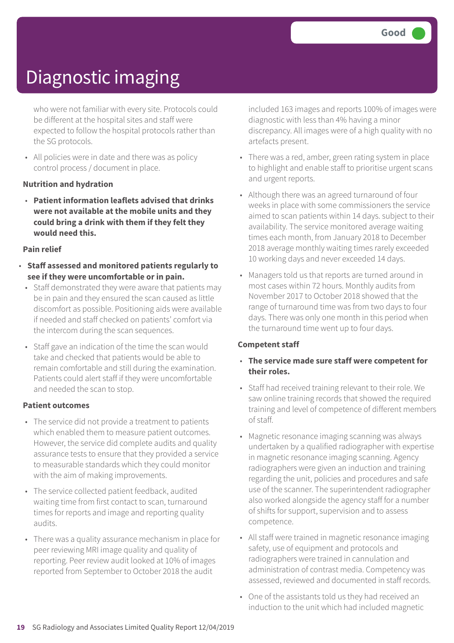who were not familiar with every site. Protocols could be different at the hospital sites and staff were expected to follow the hospital protocols rather than the SG protocols.

• All policies were in date and there was as policy control process / document in place.

#### **Nutrition and hydration**

• **Patient information leaflets advised that drinks were not available at the mobile units and they could bring a drink with them if they felt they would need this.**

#### **Pain relief**

- **Staff assessed and monitored patients regularly to see if they were uncomfortable or in pain.**
	- Staff demonstrated they were aware that patients may be in pain and they ensured the scan caused as little discomfort as possible. Positioning aids were available if needed and staff checked on patients' comfort via the intercom during the scan sequences.
	- Staff gave an indication of the time the scan would take and checked that patients would be able to remain comfortable and still during the examination. Patients could alert staff if they were uncomfortable and needed the scan to stop.

#### **Patient outcomes**

- The service did not provide a treatment to patients which enabled them to measure patient outcomes. However, the service did complete audits and quality assurance tests to ensure that they provided a service to measurable standards which they could monitor with the aim of making improvements.
- The service collected patient feedback, audited waiting time from first contact to scan, turnaround times for reports and image and reporting quality audits.
- There was a quality assurance mechanism in place for peer reviewing MRI image quality and quality of reporting. Peer review audit looked at 10% of images reported from September to October 2018 the audit

included 163 images and reports 100% of images were diagnostic with less than 4% having a minor discrepancy. All images were of a high quality with no artefacts present.

- There was a red, amber, green rating system in place to highlight and enable staff to prioritise urgent scans and urgent reports.
- Although there was an agreed turnaround of four weeks in place with some commissioners the service aimed to scan patients within 14 days. subject to their availability. The service monitored average waiting times each month, from January 2018 to December 2018 average monthly waiting times rarely exceeded 10 working days and never exceeded 14 days.
- Managers told us that reports are turned around in most cases within 72 hours. Monthly audits from November 2017 to October 2018 showed that the range of turnaround time was from two days to four days. There was only one month in this period when the turnaround time went up to four days.

#### **Competent staff**

- **The service made sure staff were competent for their roles.**
- Staff had received training relevant to their role. We saw online training records that showed the required training and level of competence of different members of staff.
- Magnetic resonance imaging scanning was always undertaken by a qualified radiographer with expertise in magnetic resonance imaging scanning. Agency radiographers were given an induction and training regarding the unit, policies and procedures and safe use of the scanner. The superintendent radiographer also worked alongside the agency staff for a number of shifts for support, supervision and to assess competence.
- All staff were trained in magnetic resonance imaging safety, use of equipment and protocols and radiographers were trained in cannulation and administration of contrast media. Competency was assessed, reviewed and documented in staff records.
- One of the assistants told us they had received an induction to the unit which had included magnetic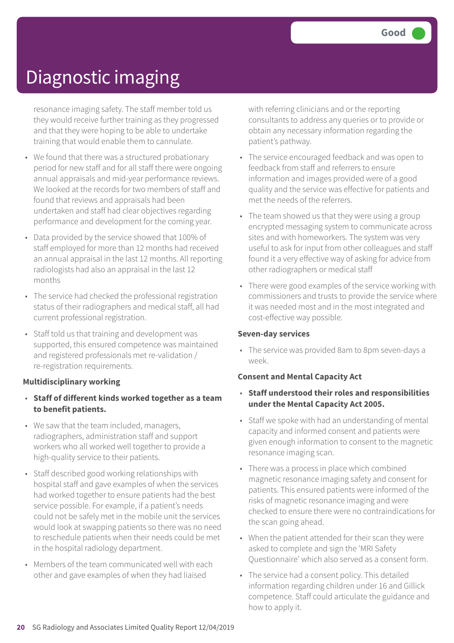resonance imaging safety. The staff member told us they would receive further training as they progressed and that they were hoping to be able to undertake training that would enable them to cannulate.

- We found that there was a structured probationary period for new staff and for all staff there were ongoing annual appraisals and mid-year performance reviews. We looked at the records for two members of staff and found that reviews and appraisals had been undertaken and staff had clear objectives regarding performance and development for the coming year.
- Data provided by the service showed that 100% of staff employed for more than 12 months had received an annual appraisal in the last 12 months. All reporting radiologists had also an appraisal in the last 12 months
- The service had checked the professional registration status of their radiographers and medical staff, all had current professional registration.
- Staff told us that training and development was supported, this ensured competence was maintained and registered professionals met re-validation / re-registration requirements.

#### **Multidisciplinary working**

- **Staff of different kinds worked together as a team to benefit patients.**
- We saw that the team included, managers, radiographers, administration staff and support workers who all worked well together to provide a high-quality service to their patients.
- Staff described good working relationships with hospital staff and gave examples of when the services had worked together to ensure patients had the best service possible. For example, if a patient's needs could not be safely met in the mobile unit the services would look at swapping patients so there was no need to reschedule patients when their needs could be met in the hospital radiology department.
- Members of the team communicated well with each other and gave examples of when they had liaised

with referring clinicians and or the reporting consultants to address any queries or to provide or obtain any necessary information regarding the patient's pathway.

- The service encouraged feedback and was open to feedback from staff and referrers to ensure information and images provided were of a good quality and the service was effective for patients and met the needs of the referrers.
- The team showed us that they were using a group encrypted messaging system to communicate across sites and with homeworkers. The system was very useful to ask for input from other colleagues and staff found it a very effective way of asking for advice from other radiographers or medical staff
- There were good examples of the service working with commissioners and trusts to provide the service where it was needed most and in the most integrated and cost-effective way possible.

#### **Seven-day services**

• The service was provided 8am to 8pm seven-days a week.

#### **Consent and Mental Capacity Act**

- **Staff understood their roles and responsibilities under the Mental Capacity Act 2005.**
- Staff we spoke with had an understanding of mental capacity and informed consent and patients were given enough information to consent to the magnetic resonance imaging scan.
- There was a process in place which combined magnetic resonance imaging safety and consent for patients. This ensured patients were informed of the risks of magnetic resonance imaging and were checked to ensure there were no contraindications for the scan going ahead.
- When the patient attended for their scan they were asked to complete and sign the 'MRI Safety Questionnaire' which also served as a consent form.
- The service had a consent policy. This detailed information regarding children under 16 and Gillick competence. Staff could articulate the guidance and how to apply it.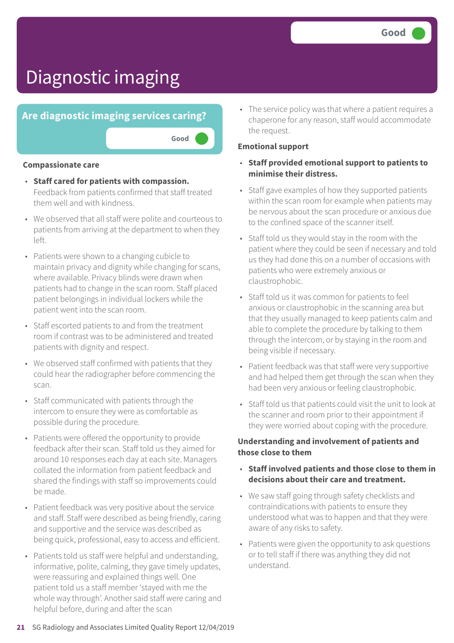### **Are diagnostic imaging services caring?**

**Good –––**

#### **Compassionate care**

- **Staff cared for patients with compassion.** Feedback from patients confirmed that staff treated them well and with kindness.
- We observed that all staff were polite and courteous to patients from arriving at the department to when they left.
- Patients were shown to a changing cubicle to maintain privacy and dignity while changing for scans, where available. Privacy blinds were drawn when patients had to change in the scan room. Staff placed patient belongings in individual lockers while the patient went into the scan room.
- Staff escorted patients to and from the treatment room if contrast was to be administered and treated patients with dignity and respect.
- We observed staff confirmed with patients that they could hear the radiographer before commencing the scan.
- Staff communicated with patients through the intercom to ensure they were as comfortable as possible during the procedure.
- Patients were offered the opportunity to provide feedback after their scan. Staff told us they aimed for around 10 responses each day at each site. Managers collated the information from patient feedback and shared the findings with staff so improvements could be made.
- Patient feedback was very positive about the service and staff. Staff were described as being friendly, caring and supportive and the service was described as being quick, professional, easy to access and efficient.
- Patients told us staff were helpful and understanding, informative, polite, calming, they gave timely updates, were reassuring and explained things well. One patient told us a staff member 'stayed with me the whole way through'. Another said staff were caring and helpful before, during and after the scan

• The service policy was that where a patient requires a chaperone for any reason, staff would accommodate the request.

#### **Emotional support**

- **Staff provided emotional support to patients to minimise their distress.**
- Staff gave examples of how they supported patients within the scan room for example when patients may be nervous about the scan procedure or anxious due to the confined space of the scanner itself.
- Staff told us they would stay in the room with the patient where they could be seen if necessary and told us they had done this on a number of occasions with patients who were extremely anxious or claustrophobic.
- Staff told us it was common for patients to feel anxious or claustrophobic in the scanning area but that they usually managed to keep patients calm and able to complete the procedure by talking to them through the intercom, or by staying in the room and being visible if necessary.
- Patient feedback was that staff were very supportive and had helped them get through the scan when they had been very anxious or feeling claustrophobic.
- Staff told us that patients could visit the unit to look at the scanner and room prior to their appointment if they were worried about coping with the procedure.

#### **Understanding and involvement of patients and those close to them**

- **Staff involved patients and those close to them in decisions about their care and treatment.**
- We saw staff going through safety checklists and contraindications with patients to ensure they understood what was to happen and that they were aware of any risks to safety.
- Patients were given the opportunity to ask questions or to tell staff if there was anything they did not understand.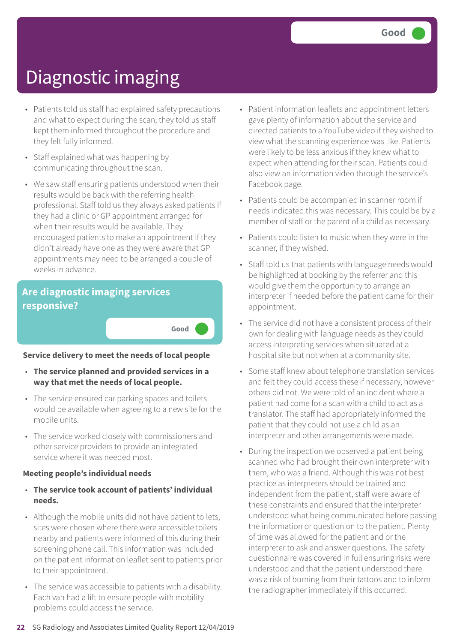- Patients told us staff had explained safety precautions and what to expect during the scan, they told us staff kept them informed throughout the procedure and they felt fully informed.
- Staff explained what was happening by communicating throughout the scan.
- We saw staff ensuring patients understood when their results would be back with the referring health professional. Staff told us they always asked patients if they had a clinic or GP appointment arranged for when their results would be available. They encouraged patients to make an appointment if they didn't already have one as they were aware that GP appointments may need to be arranged a couple of weeks in advance.

### **Are diagnostic imaging services responsive?**

#### **Service delivery to meet the needs of local people**

**Good –––**

- **The service planned and provided services in a way that met the needs of local people.**
- The service ensured car parking spaces and toilets would be available when agreeing to a new site for the mobile units.
- The service worked closely with commissioners and other service providers to provide an integrated service where it was needed most.

#### **Meeting people's individual needs**

- **The service took account of patients' individual needs.**
- Although the mobile units did not have patient toilets, sites were chosen where there were accessible toilets nearby and patients were informed of this during their screening phone call. This information was included on the patient information leaflet sent to patients prior to their appointment.
- The service was accessible to patients with a disability. Each van had a lift to ensure people with mobility problems could access the service.
- Patient information leaflets and appointment letters gave plenty of information about the service and directed patients to a YouTube video if they wished to view what the scanning experience was like. Patients were likely to be less anxious if they knew what to expect when attending for their scan. Patients could also view an information video through the service's Facebook page.
- Patients could be accompanied in scanner room if needs indicated this was necessary. This could be by a member of staff or the parent of a child as necessary.
- Patients could listen to music when they were in the scanner, if they wished.
- Staff told us that patients with language needs would be highlighted at booking by the referrer and this would give them the opportunity to arrange an interpreter if needed before the patient came for their appointment.
- The service did not have a consistent process of their own for dealing with language needs as they could access interpreting services when situated at a hospital site but not when at a community site.
- Some staff knew about telephone translation services and felt they could access these if necessary, however others did not. We were told of an incident where a patient had come for a scan with a child to act as a translator. The staff had appropriately informed the patient that they could not use a child as an interpreter and other arrangements were made.
- During the inspection we observed a patient being scanned who had brought their own interpreter with them, who was a friend. Although this was not best practice as interpreters should be trained and independent from the patient, staff were aware of these constraints and ensured that the interpreter understood what being communicated before passing the information or question on to the patient. Plenty of time was allowed for the patient and or the interpreter to ask and answer questions. The safety questionnaire was covered in full ensuring risks were understood and that the patient understood there was a risk of burning from their tattoos and to inform the radiographer immediately if this occurred.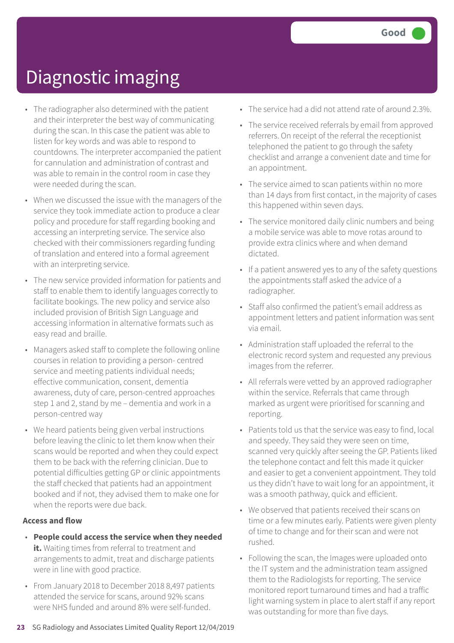- The radiographer also determined with the patient and their interpreter the best way of communicating during the scan. In this case the patient was able to listen for key words and was able to respond to countdowns. The interpreter accompanied the patient for cannulation and administration of contrast and was able to remain in the control room in case they were needed during the scan.
- When we discussed the issue with the managers of the service they took immediate action to produce a clear policy and procedure for staff regarding booking and accessing an interpreting service. The service also checked with their commissioners regarding funding of translation and entered into a formal agreement with an interpreting service.
- The new service provided information for patients and staff to enable them to identify languages correctly to facilitate bookings. The new policy and service also included provision of British Sign Language and accessing information in alternative formats such as easy read and braille.
- Managers asked staff to complete the following online courses in relation to providing a person- centred service and meeting patients individual needs; effective communication, consent, dementia awareness, duty of care, person-centred approaches step 1 and 2, stand by me – dementia and work in a person-centred way
- We heard patients being given verbal instructions before leaving the clinic to let them know when their scans would be reported and when they could expect them to be back with the referring clinician. Due to potential difficulties getting GP or clinic appointments the staff checked that patients had an appointment booked and if not, they advised them to make one for when the reports were due back.

#### **Access and flow**

- **People could access the service when they needed it.** Waiting times from referral to treatment and arrangements to admit, treat and discharge patients were in line with good practice.
- From January 2018 to December 2018 8,497 patients attended the service for scans, around 92% scans were NHS funded and around 8% were self-funded.
- The service had a did not attend rate of around 2.3%.
- The service received referrals by email from approved referrers. On receipt of the referral the receptionist telephoned the patient to go through the safety checklist and arrange a convenient date and time for an appointment.
- The service aimed to scan patients within no more than 14 days from first contact, in the majority of cases this happened within seven days.
- The service monitored daily clinic numbers and being a mobile service was able to move rotas around to provide extra clinics where and when demand dictated.
- If a patient answered yes to any of the safety questions the appointments staff asked the advice of a radiographer.
- Staff also confirmed the patient's email address as appointment letters and patient information was sent via email.
- Administration staff uploaded the referral to the electronic record system and requested any previous images from the referrer.
- All referrals were vetted by an approved radiographer within the service. Referrals that came through marked as urgent were prioritised for scanning and reporting.
- Patients told us that the service was easy to find, local and speedy. They said they were seen on time, scanned very quickly after seeing the GP. Patients liked the telephone contact and felt this made it quicker and easier to get a convenient appointment. They told us they didn't have to wait long for an appointment, it was a smooth pathway, quick and efficient.
- We observed that patients received their scans on time or a few minutes early. Patients were given plenty of time to change and for their scan and were not rushed.
- Following the scan, the Images were uploaded onto the IT system and the administration team assigned them to the Radiologists for reporting. The service monitored report turnaround times and had a traffic light warning system in place to alert staff if any report was outstanding for more than five days.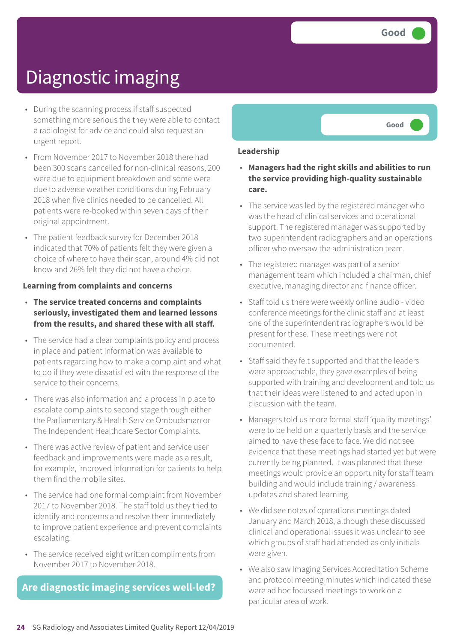- During the scanning process if staff suspected something more serious the they were able to contact a radiologist for advice and could also request an urgent report.
- From November 2017 to November 2018 there had been 300 scans cancelled for non-clinical reasons, 200 were due to equipment breakdown and some were due to adverse weather conditions during February 2018 when five clinics needed to be cancelled. All patients were re-booked within seven days of their original appointment.
- The patient feedback survey for December 2018 indicated that 70% of patients felt they were given a choice of where to have their scan, around 4% did not know and 26% felt they did not have a choice.

#### **Learning from complaints and concerns**

- **The service treated concerns and complaints seriously, investigated them and learned lessons from the results, and shared these with all staff.**
- The service had a clear complaints policy and process in place and patient information was available to patients regarding how to make a complaint and what to do if they were dissatisfied with the response of the service to their concerns.
- There was also information and a process in place to escalate complaints to second stage through either the Parliamentary & Health Service Ombudsman or The Independent Healthcare Sector Complaints.
- There was active review of patient and service user feedback and improvements were made as a result, for example, improved information for patients to help them find the mobile sites.
- The service had one formal complaint from November 2017 to November 2018. The staff told us they tried to identify and concerns and resolve them immediately to improve patient experience and prevent complaints escalating.
- The service received eight written compliments from November 2017 to November 2018.

#### **Are diagnostic imaging services well-led?**



#### **Leadership**

- **Managers had the right skills and abilities to run the service providing high-quality sustainable care.**
- The service was led by the registered manager who was the head of clinical services and operational support. The registered manager was supported by two superintendent radiographers and an operations officer who oversaw the administration team.
- The registered manager was part of a senior management team which included a chairman, chief executive, managing director and finance officer.
- Staff told us there were weekly online audio video conference meetings for the clinic staff and at least one of the superintendent radiographers would be present for these. These meetings were not documented.
- Staff said they felt supported and that the leaders were approachable, they gave examples of being supported with training and development and told us that their ideas were listened to and acted upon in discussion with the team.
- Managers told us more formal staff 'quality meetings' were to be held on a quarterly basis and the service aimed to have these face to face. We did not see evidence that these meetings had started yet but were currently being planned. It was planned that these meetings would provide an opportunity for staff team building and would include training / awareness updates and shared learning.
- We did see notes of operations meetings dated January and March 2018, although these discussed clinical and operational issues it was unclear to see which groups of staff had attended as only initials were given.
- We also saw Imaging Services Accreditation Scheme and protocol meeting minutes which indicated these were ad hoc focussed meetings to work on a particular area of work.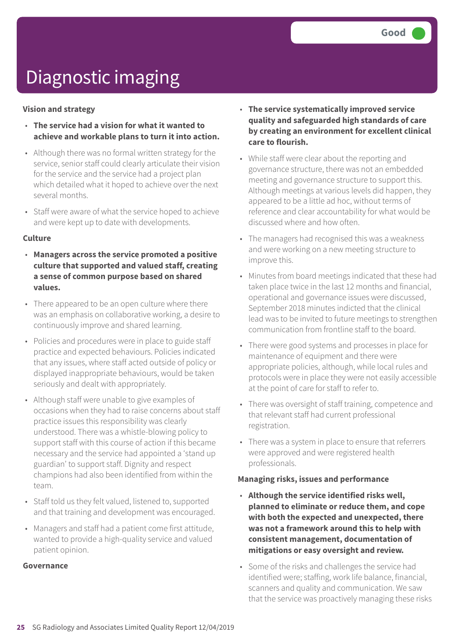#### **Vision and strategy**

- **The service had a vision for what it wanted to achieve and workable plans to turn it into action.**
- Although there was no formal written strategy for the service, senior staff could clearly articulate their vision for the service and the service had a project plan which detailed what it hoped to achieve over the next several months.
- Staff were aware of what the service hoped to achieve and were kept up to date with developments.

#### **Culture**

- **Managers across the service promoted a positive culture that supported and valued staff, creating a sense of common purpose based on shared values.**
- There appeared to be an open culture where there was an emphasis on collaborative working, a desire to continuously improve and shared learning.
- Policies and procedures were in place to guide staff practice and expected behaviours. Policies indicated that any issues, where staff acted outside of policy or displayed inappropriate behaviours, would be taken seriously and dealt with appropriately.
- Although staff were unable to give examples of occasions when they had to raise concerns about staff practice issues this responsibility was clearly understood. There was a whistle-blowing policy to support staff with this course of action if this became necessary and the service had appointed a 'stand up guardian' to support staff. Dignity and respect champions had also been identified from within the team.
- Staff told us they felt valued, listened to, supported and that training and development was encouraged.
- Managers and staff had a patient come first attitude, wanted to provide a high-quality service and valued patient opinion.

#### **Governance**

- **The service systematically improved service quality and safeguarded high standards of care by creating an environment for excellent clinical care to flourish.**
- While staff were clear about the reporting and governance structure, there was not an embedded meeting and governance structure to support this. Although meetings at various levels did happen, they appeared to be a little ad hoc, without terms of reference and clear accountability for what would be discussed where and how often.
- The managers had recognised this was a weakness and were working on a new meeting structure to improve this.
- Minutes from board meetings indicated that these had taken place twice in the last 12 months and financial, operational and governance issues were discussed, September 2018 minutes indicted that the clinical lead was to be invited to future meetings to strengthen communication from frontline staff to the board.
- There were good systems and processes in place for maintenance of equipment and there were appropriate policies, although, while local rules and protocols were in place they were not easily accessible at the point of care for staff to refer to.
- There was oversight of staff training, competence and that relevant staff had current professional registration.
- There was a system in place to ensure that referrers were approved and were registered health professionals.

#### **Managing risks, issues and performance**

- **Although the service identified risks well, planned to eliminate or reduce them, and cope with both the expected and unexpected, there was not a framework around this to help with consistent management, documentation of mitigations or easy oversight and review.**
- Some of the risks and challenges the service had identified were; staffing, work life balance, financial, scanners and quality and communication. We saw that the service was proactively managing these risks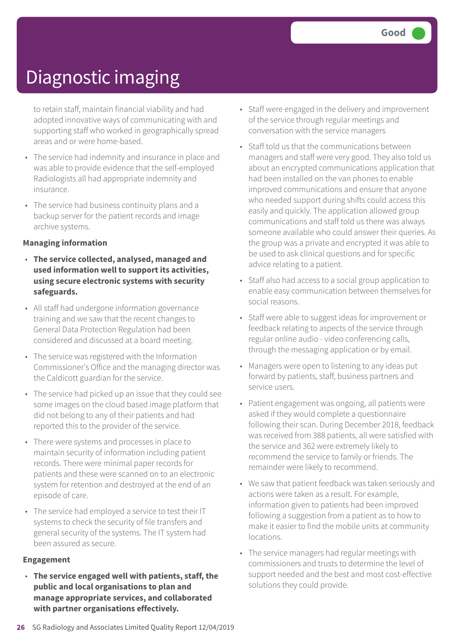to retain staff, maintain financial viability and had adopted innovative ways of communicating with and supporting staff who worked in geographically spread areas and or were home-based.

- The service had indemnity and insurance in place and was able to provide evidence that the self-employed Radiologists all had appropriate indemnity and insurance.
- The service had business continuity plans and a backup server for the patient records and image archive systems.

#### **Managing information**

- **The service collected, analysed, managed and used information well to support its activities, using secure electronic systems with security safeguards.**
- All staff had undergone information governance training and we saw that the recent changes to General Data Protection Regulation had been considered and discussed at a board meeting.
- The service was registered with the Information Commissioner's Office and the managing director was the Caldicott guardian for the service.
- The service had picked up an issue that they could see some images on the cloud based image platform that did not belong to any of their patients and had reported this to the provider of the service.
- There were systems and processes in place to maintain security of information including patient records. There were minimal paper records for patients and these were scanned on to an electronic system for retention and destroyed at the end of an episode of care.
- The service had employed a service to test their IT systems to check the security of file transfers and general security of the systems. The IT system had been assured as secure.

#### **Engagement**

• **The service engaged well with patients, staff, the public and local organisations to plan and manage appropriate services, and collaborated with partner organisations effectively.**

- Staff were engaged in the delivery and improvement of the service through regular meetings and conversation with the service managers
- Staff told us that the communications between managers and staff were very good. They also told us about an encrypted communications application that had been installed on the van phones to enable improved communications and ensure that anyone who needed support during shifts could access this easily and quickly. The application allowed group communications and staff told us there was always someone available who could answer their queries. As the group was a private and encrypted it was able to be used to ask clinical questions and for specific advice relating to a patient.
- Staff also had access to a social group application to enable easy communication between themselves for social reasons.
- Staff were able to suggest ideas for improvement or feedback relating to aspects of the service through regular online audio - video conferencing calls, through the messaging application or by email.
- Managers were open to listening to any ideas put forward by patients, staff, business partners and service users.
- Patient engagement was ongoing, all patients were asked if they would complete a questionnaire following their scan. During December 2018, feedback was received from 388 patients, all were satisfied with the service and 362 were extremely likely to recommend the service to family or friends. The remainder were likely to recommend.
- We saw that patient feedback was taken seriously and actions were taken as a result. For example, information given to patients had been improved following a suggestion from a patient as to how to make it easier to find the mobile units at community locations.
- The service managers had regular meetings with commissioners and trusts to determine the level of support needed and the best and most cost-effective solutions they could provide.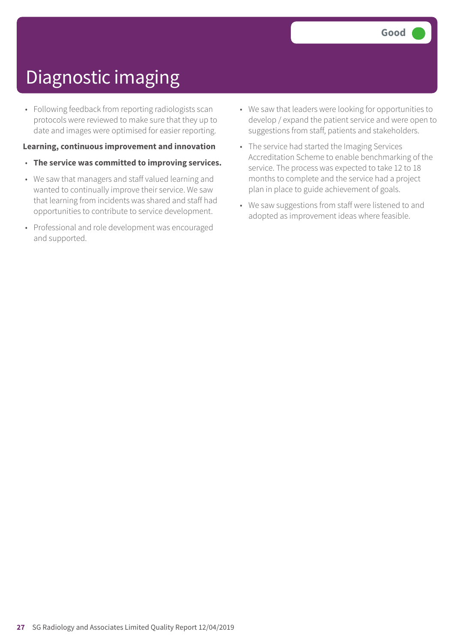• Following feedback from reporting radiologists scan protocols were reviewed to make sure that they up to date and images were optimised for easier reporting.

#### **Learning, continuous improvement and innovation**

- **The service was committed to improving services.**
- We saw that managers and staff valued learning and wanted to continually improve their service. We saw that learning from incidents was shared and staff had opportunities to contribute to service development.
- Professional and role development was encouraged and supported.
- We saw that leaders were looking for opportunities to develop / expand the patient service and were open to suggestions from staff, patients and stakeholders.
- The service had started the Imaging Services Accreditation Scheme to enable benchmarking of the service. The process was expected to take 12 to 18 months to complete and the service had a project plan in place to guide achievement of goals.
- We saw suggestions from staff were listened to and adopted as improvement ideas where feasible.